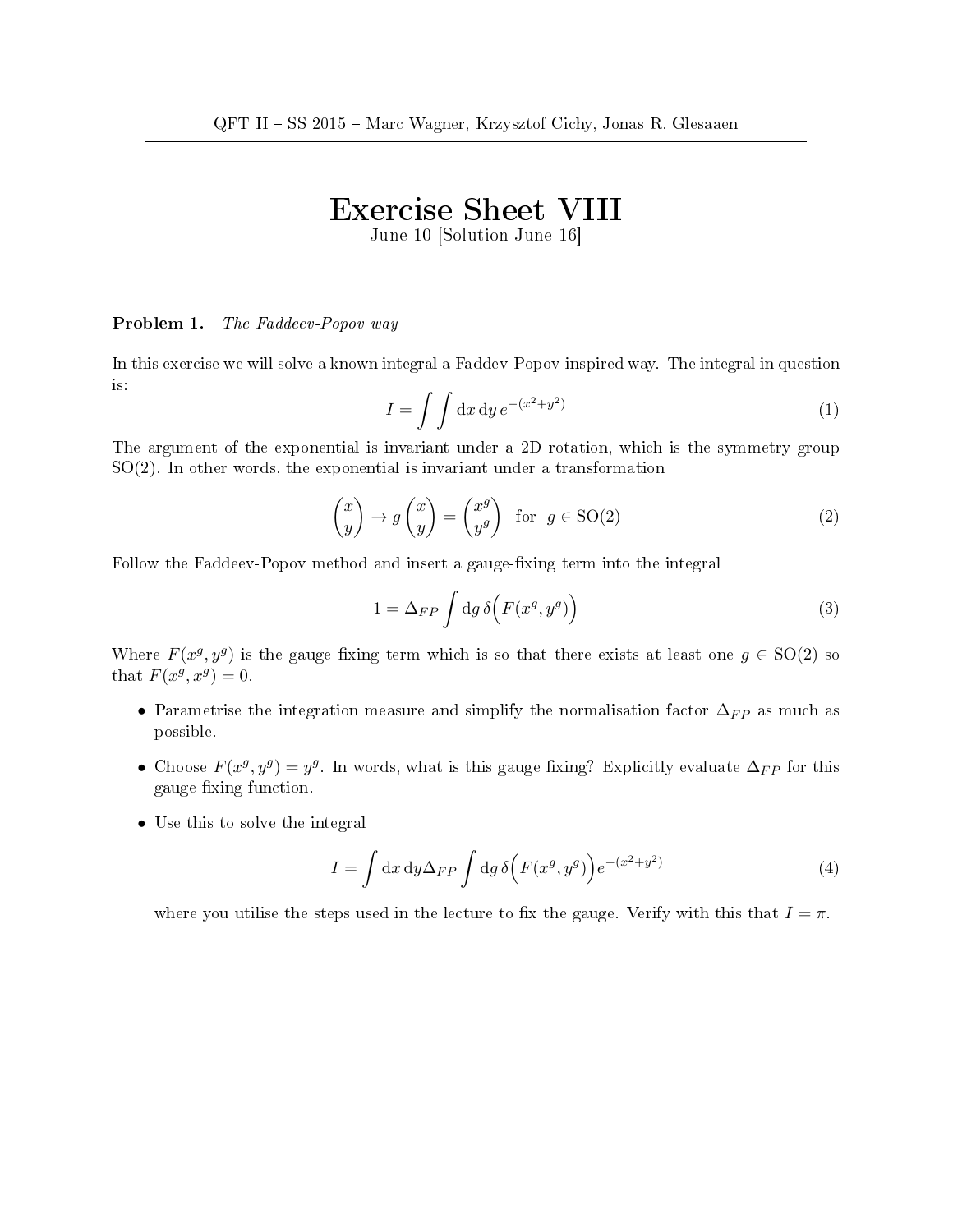## Exercise Sheet VIII

June 10 [Solution June 16]

## Problem 1. The Faddeev-Popov way

In this exercise we will solve a known integral a Faddev-Popov-inspired way. The integral in question is:

$$
I = \int \int dx dy e^{-(x^2 + y^2)}
$$
 (1)

The argument of the exponential is invariant under a 2D rotation, which is the symmetry group SO(2). In other words, the exponential is invariant under a transformation

$$
\begin{pmatrix} x \\ y \end{pmatrix} \rightarrow g \begin{pmatrix} x \\ y \end{pmatrix} = \begin{pmatrix} x^g \\ y^g \end{pmatrix} \text{ for } g \in SO(2) \tag{2}
$$

Follow the Faddeev-Popov method and insert a gauge-fixing term into the integral

$$
1 = \Delta_{FP} \int \mathrm{d}g \,\delta \Big( F(x^g, y^g) \Big) \tag{3}
$$

Where  $F(x^g, y^g)$  is the gauge fixing term which is so that there exists at least one  $g \in SO(2)$  so that  $F(x^g, x^g) = 0$ .

- Parametrise the integration measure and simplify the normalisation factor  $\Delta_{FP}$  as much as possible.
- Choose  $F(x^g, y^g) = y^g$ . In words, what is this gauge fixing? Explicitly evaluate  $\Delta_{FP}$  for this gauge fixing function.
- Use this to solve the integral

$$
I = \int dx dy \Delta_{FP} \int dg \,\delta(F(x^g, y^g)) e^{-(x^2 + y^2)}
$$
\n(4)

where you utilise the steps used in the lecture to fix the gauge. Verify with this that  $I = \pi$ .